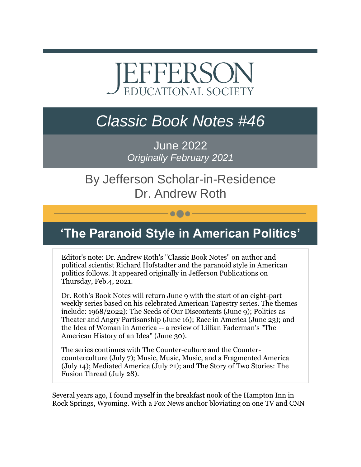# EFFERSON **EDUCATIONAL SOCIETY**

## *Classic Book Notes #46*

June 2022 *Originally February 2021*

### By Jefferson Scholar-in-Residence Dr. Andrew Roth

### **'The Paranoid Style in American Politics'**

 $\bullet\bullet\bullet$ 

Editor's note: Dr. Andrew Roth's "Classic Book Notes" on author and political scientist Richard Hofstadter and the paranoid style in American politics follows. It appeared originally in Jefferson Publications on Thursday, Feb.4, 2021.

Dr. Roth's Book Notes will return June 9 with the start of an eight-part weekly series based on his celebrated American Tapestry series. The themes include: 1968/2022): The Seeds of Our Discontents (June 9); Politics as Theater and Angry Partisanship (June 16); Race in America (June 23); and the Idea of Woman in America -- a review of Lillian Faderman's "The American History of an Idea" (June 30).

The series continues with The Counter-culture and the Countercounterculture (July 7); Music, Music, Music, and a Fragmented America (July 14); Mediated America (July 21); and The Story of Two Stories: The Fusion Thread (July 28).

Several years ago, I found myself in the breakfast nook of the Hampton Inn in Rock Springs, Wyoming. With a Fox News anchor bloviating on one TV and CNN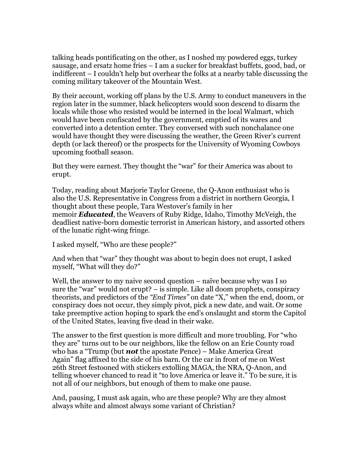talking heads pontificating on the other, as I noshed my powdered eggs, turkey sausage, and ersatz home fries – I am a sucker for breakfast buffets, good, bad, or indifferent – I couldn't help but overhear the folks at a nearby table discussing the coming military takeover of the Mountain West.

By their account, working off plans by the U.S. Army to conduct maneuvers in the region later in the summer, black helicopters would soon descend to disarm the locals while those who resisted would be interned in the local Walmart, which would have been confiscated by the government, emptied of its wares and converted into a detention center. They conversed with such nonchalance one would have thought they were discussing the weather, the Green River's current depth (or lack thereof) or the prospects for the University of Wyoming Cowboys upcoming football season.

But they were earnest. They thought the "war" for their America was about to erupt.

Today, reading about Marjorie Taylor Greene, the Q-Anon enthusiast who is also the U.S. Representative in Congress from a district in northern Georgia, I thought about these people, Tara Westover's family in her memoir *Educated*, the Weavers of Ruby Ridge, Idaho, Timothy McVeigh, the deadliest native-born domestic terrorist in American history, and assorted others of the lunatic right-wing fringe.

I asked myself, "Who are these people?"

And when that "war" they thought was about to begin does not erupt, I asked myself, "What will they do?"

Well, the answer to my naive second question – naïve because why was I so sure the "war" would not erupt? – is simple. Like all doom prophets, conspiracy theorists, and predictors of the *"End Times"* on date "X," when the end, doom, or conspiracy does not occur, they simply pivot, pick a new date, and wait. Or some take preemptive action hoping to spark the end's onslaught and storm the Capitol of the United States, leaving five dead in their wake.

The answer to the first question is more difficult and more troubling. For "who they are" turns out to be our neighbors, like the fellow on an Erie County road who has a "Trump (but *not* the apostate Pence) – Make America Great Again" flag affixed to the side of his barn. Or the car in front of me on West 26th Street festooned with stickers extolling MAGA, the NRA, Q-Anon, and telling whoever chanced to read it "to love America or leave it." To be sure, it is not all of our neighbors, but enough of them to make one pause.

And, pausing, I must ask again, who are these people? Why are they almost always white and almost always some variant of Christian?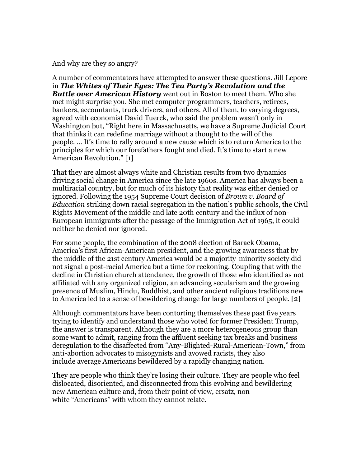And why are they so angry?

A number of commentators have attempted to answer these questions. Jill Lepore in *The Whites of Their Eyes: The Tea Party's Revolution and the Battle over American History* went out in Boston to meet them. Who she met might surprise you. She met computer programmers, teachers, retirees, bankers, accountants, truck drivers, and others. All of them, to varying degrees, agreed with economist David Tuerck, who said the problem wasn't only in Washington but, "Right here in Massachusetts, we have a Supreme Judicial Court that thinks it can redefine marriage without a thought to the will of the people. … It's time to rally around a new cause which is to return America to the principles for which our forefathers fought and died. It's time to start a new American Revolution." [1]

That they are almost always white and Christian results from two dynamics driving social change in America since the late 1960s. America has always been a multiracial country, but for much of its history that reality was either denied or ignored. Following the 1954 Supreme Court decision of *Brown v. Board of Education* striking down racial segregation in the nation's public schools, the Civil Rights Movement of the middle and late 20th century and the influx of non-European immigrants after the passage of the Immigration Act of 1965, it could neither be denied nor ignored.

For some people, the combination of the 2008 election of Barack Obama, America's first African-American president, and the growing awareness that by the middle of the 21st century America would be a majority-minority society did not signal a post-racial America but a time for reckoning. Coupling that with the decline in Christian church attendance, the growth of those who identified as not affiliated with any organized religion, an advancing secularism and the growing presence of Muslim, Hindu, Buddhist, and other ancient religious traditions new to America led to a sense of bewildering change for large numbers of people. [2]

Although commentators have been contorting themselves these past five years trying to identify and understand those who voted for former President Trump, the answer is transparent. Although they are a more heterogeneous group than some want to admit, ranging from the affluent seeking tax breaks and business deregulation to the disaffected from "Any-Blighted-Rural-American-Town," from anti-abortion advocates to misogynists and avowed racists, they also include average Americans bewildered by a rapidly changing nation.

They are people who think they're losing their culture. They are people who feel dislocated, disoriented, and disconnected from this evolving and bewildering new American culture and, from their point of view, ersatz, nonwhite "Americans" with whom they cannot relate.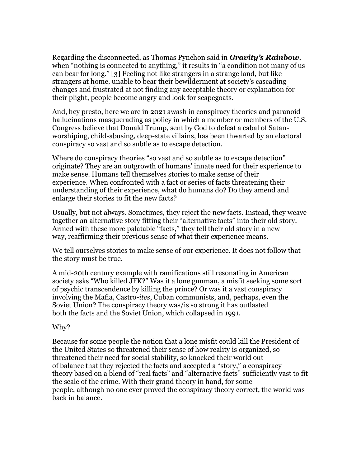Regarding the disconnected, as Thomas Pynchon said in *Gravity's Rainbow*, when "nothing is connected to anything," it results in "a condition not many of us can bear for long." [3] Feeling not like strangers in a strange land, but like strangers at home, unable to bear their bewilderment at society's cascading changes and frustrated at not finding any acceptable theory or explanation for their plight, people become angry and look for scapegoats.

And, hey presto, here we are in 2021 awash in conspiracy theories and paranoid hallucinations masquerading as policy in which a member or members of the U.S. Congress believe that Donald Trump, sent by God to defeat a cabal of Satanworshiping, child-abusing, deep-state villains, has been thwarted by an electoral conspiracy so vast and so subtle as to escape detection.

Where do conspiracy theories "so vast and so subtle as to escape detection" originate? They are an outgrowth of humans' innate need for their experience to make sense. Humans tell themselves stories to make sense of their experience. When confronted with a fact or series of facts threatening their understanding of their experience, what do humans do? Do they amend and enlarge their stories to fit the new facts?

Usually, but not always. Sometimes, they reject the new facts. Instead, they weave together an alternative story fitting their "alternative facts" into their old story. Armed with these more palatable "facts," they tell their old story in a new way, reaffirming their previous sense of what their experience means.

We tell ourselves stories to make sense of our experience. It does not follow that the story must be true.

A mid-20th century example with ramifications still resonating in American society asks "Who killed JFK?" Was it a lone gunman, a misfit seeking some sort of psychic transcendence by killing the prince? Or was it a vast conspiracy involving the Mafia, Castro-*ites*, Cuban communists, and, perhaps, even the Soviet Union? The conspiracy theory was/is so strong it has outlasted both the facts and the Soviet Union, which collapsed in 1991.

#### Why?

Because for some people the notion that a lone misfit could kill the President of the United States so threatened their sense of how reality is organized, so threatened their need for social stability, so knocked their world out – of balance that they rejected the facts and accepted a "story," a conspiracy theory based on a blend of "real facts" and "alternative facts" sufficiently vast to fit the scale of the crime. With their grand theory in hand, for some people, although no one ever proved the conspiracy theory correct, the world was back in balance.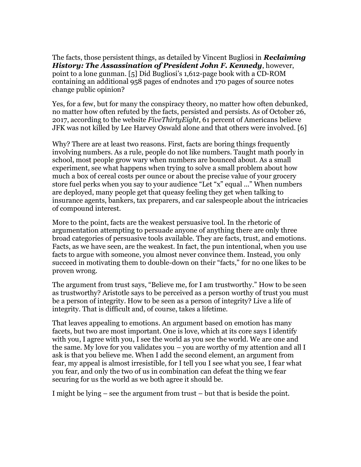The facts, those persistent things, as detailed by Vincent Bugliosi in *Reclaiming History: The Assassination of President John F. Kennedy*, however, point to a lone gunman. [5] Did Bugliosi's 1,612-page book with a CD-ROM containing an additional 958 pages of endnotes and 170 pages of source notes change public opinion?

Yes, for a few, but for many the conspiracy theory, no matter how often debunked, no matter how often refuted by the facts, persisted and persists. As of October 26, 2017, according to the website *FiveThirtyEight*, 61 percent of Americans believe JFK was not killed by Lee Harvey Oswald alone and that others were involved. [6]

Why? There are at least two reasons. First, facts are boring things frequently involving numbers. As a rule, people do not like numbers. Taught math poorly in school, most people grow wary when numbers are bounced about. As a small experiment, see what happens when trying to solve a small problem about how much a box of cereal costs per ounce or about the precise value of your grocery store fuel perks when you say to your audience "Let "x" equal ..." When numbers are deployed, many people get that queasy feeling they get when talking to insurance agents, bankers, tax preparers, and car salespeople about the intricacies of compound interest.

More to the point, facts are the weakest persuasive tool. In the rhetoric of argumentation attempting to persuade anyone of anything there are only three broad categories of persuasive tools available. They are facts, trust, and emotions. Facts, as we have seen, are the weakest. In fact, the pun intentional, when you use facts to argue with someone, you almost never convince them. Instead, you only succeed in motivating them to double-down on their "facts," for no one likes to be proven wrong.

The argument from trust says, "Believe me, for I am trustworthy." How to be seen as trustworthy? Aristotle says to be perceived as a person worthy of trust you must be a person of integrity. How to be seen as a person of integrity? Live a life of integrity. That is difficult and, of course, takes a lifetime.

That leaves appealing to emotions. An argument based on emotion has many facets, but two are most important. One is love, which at its core says I identify with you, I agree with you, I see the world as you see the world. We are one and the same. My love for you validates you – you are worthy of my attention and all I ask is that you believe me. When I add the second element, an argument from fear, my appeal is almost irresistible, for I tell you I see what you see, I fear what you fear, and only the two of us in combination can defeat the thing we fear securing for us the world as we both agree it should be.

I might be lying – see the argument from trust – but that is beside the point.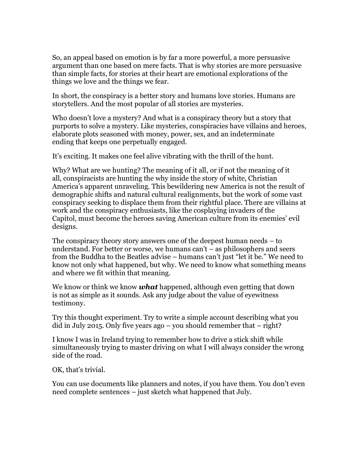So, an appeal based on emotion is by far a more powerful, a more persuasive argument than one based on mere facts. That is why stories are more persuasive than simple facts, for stories at their heart are emotional explorations of the things we love and the things we fear.

In short, the conspiracy is a better story and humans love stories. Humans are storytellers. And the most popular of all stories are mysteries.

Who doesn't love a mystery? And what is a conspiracy theory but a story that purports to solve a mystery. Like mysteries, conspiracies have villains and heroes, elaborate plots seasoned with money, power, sex, and an indeterminate ending that keeps one perpetually engaged.

It's exciting. It makes one feel alive vibrating with the thrill of the hunt.

Why? What are we hunting? The meaning of it all, or if not the meaning of it all, conspiracists are hunting the why inside the story of white, Christian America's apparent unraveling. This bewildering new America is not the result of demographic shifts and natural cultural realignments, but the work of some vast conspiracy seeking to displace them from their rightful place. There are villains at work and the conspiracy enthusiasts, like the cosplaying invaders of the Capitol, must become the heroes saving American culture from its enemies' evil designs.

The conspiracy theory story answers one of the deepest human needs – to understand. For better or worse, we humans can't – as philosophers and seers from the Buddha to the Beatles advise – humans can't just "let it be." We need to know not only what happened, but why. We need to know what something means and where we fit within that meaning.

We know or think we know *what* happened, although even getting that down is not as simple as it sounds. Ask any judge about the value of eyewitness testimony.

Try this thought experiment. Try to write a simple account describing what you did in July 2015. Only five years ago – you should remember that – right?

I know I was in Ireland trying to remember how to drive a stick shift while simultaneously trying to master driving on what I will always consider the wrong side of the road.

OK, that's trivial.

You can use documents like planners and notes, if you have them. You don't even need complete sentences – just sketch what happened that July.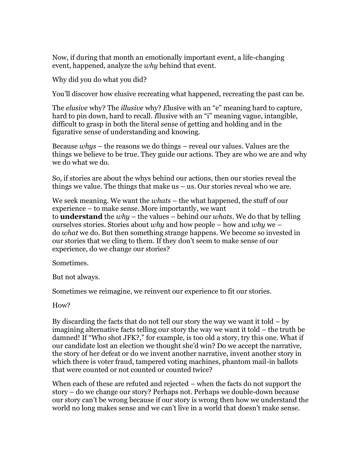Now, if during that month an emotionally important event, a life-changing event, happened, analyze the *why* behind that event.

Why did you do what you did?

You'll discover how elusive recreating what happened, recreating the past can be.

The *elusive* why? The *illusive* why? *E*lusive with an "e" meaning hard to capture, hard to pin down, hard to recall. *I*llusive with an "i" meaning vague, intangible, difficult to grasp in both the literal sense of getting and holding and in the figurative sense of understanding and knowing.

Because *whys* – the reasons we do things – reveal our values. Values are the things we believe to be true. They guide our actions. They are who we are and why we do what we do.

So, if stories are about the whys behind our actions, then our stories reveal the things we value. The things that make us  $-$  us. Our stories reveal who we are.

We seek meaning. We want the *whats* – the what happened, the stuff of our experience – to make sense. More importantly, we want to **understand** the *why* – the values – behind our *whats*. We do that by telling ourselves stories. Stories about *why* and how people – how and *why* we – do *what* we do. But then something strange happens. We become so invested in our stories that we cling to them. If they don't seem to make sense of our experience, do we change our stories?

Sometimes.

But not always.

Sometimes we reimagine, we reinvent our experience to fit our stories.

How?

By discarding the facts that do not tell our story the way we want it told  $-$  by imagining alternative facts telling our story the way we want it told – the truth be damned! If "Who shot JFK?," for example, is too old a story, try this one. What if our candidate lost an election we thought she'd win? Do we accept the narrative, the story of her defeat or do we invent another narrative, invent another story in which there is voter fraud, tampered voting machines, phantom mail-in ballots that were counted or not counted or counted twice?

When each of these are refuted and rejected – when the facts do not support the story – do we change our story? Perhaps not. Perhaps we double-down because our story can't be wrong because if our story is wrong then how we understand the world no long makes sense and we can't live in a world that doesn't make sense.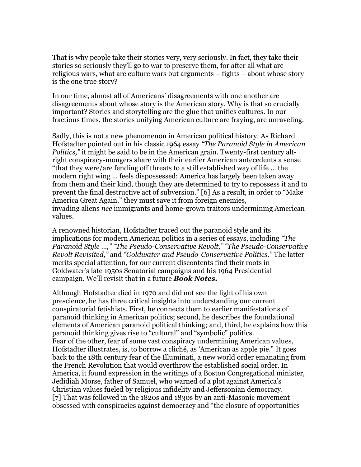That is why people take their stories very, very seriously. In fact, they take their stories so seriously they'll go to war to preserve them, for after all what are religious wars, what are culture wars but arguments – fights – about whose story is the one true story?

In our time, almost all of Americans' disagreements with one another are disagreements about whose story is the American story. Why is that so crucially important? Stories and storytelling are the glue that unifies cultures. In our fractious times, the stories unifying American culture are fraying, are unraveling.

Sadly, this is not a new phenomenon in American political history. As Richard Hofstadter pointed out in his classic 1964 essay *"The Paranoid Style in American Politics,"* it might be said to be in the American grain. Twenty-first century altright conspiracy-mongers share with their earlier American antecedents a sense "that they were/are fending off threats to a still established way of life ... the modern right wing ... feels dispossessed: America has largely been taken away from them and their kind, though they are determined to try to repossess it and to prevent the final destructive act of subversion." [6] As a result, in order to "Make America Great Again," they must save it from foreign enemies, invading aliens *nee* immigrants and home-grown traitors undermining American values.

A renowned historian, Hofstadter traced out the paranoid style and its implications for modern American politics in a series of essays, including *"The Paranoid Style …," "The Pseudo-Conservative Revolt," "The Pseudo-Conservative Revolt Revisited,"* and *"Goldwater and Pseudo-Conservative Politics."* The latter merits special attention, for our current discontents find their roots in Goldwater's late 1950s Senatorial campaigns and his 1964 Presidential campaign. We'll revisit that in a future *Book Notes.*

Although Hofstadter died in 1970 and did not see the light of his own prescience, he has three critical insights into understanding our current conspiratorial fetishists. First, he connects them to earlier manifestations of paranoid thinking in American politics; second, he describes the foundational elements of American paranoid political thinking; and, third, he explains how this paranoid thinking gives rise to "cultural" and "symbolic" politics. Fear of the other, fear of some vast conspiracy undermining American values, Hofstadter illustrates, is, to borrow a cliché, as 'American as apple pie." It goes back to the 18th century fear of the Illuminati, a new world order emanating from the French Revolution that would overthrow the established social order. In America, it found expression in the writings of a Boston Congregational minister, Jedidiah Morse, father of Samuel, who warned of a plot against America's Christian values fueled by religious infidelity and Jeffersonian democracy. [7] That was followed in the 1820s and 1830s by an anti-Masonic movement obsessed with conspiracies against democracy and "the closure of opportunities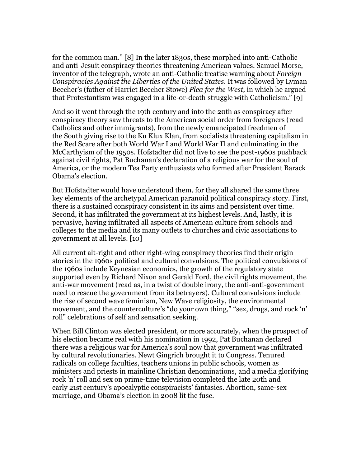for the common man." [8] In the later 1830s, these morphed into anti-Catholic and anti-Jesuit conspiracy theories threatening American values. Samuel Morse, inventor of the telegraph, wrote an anti-Catholic treatise warning about *Foreign Conspiracies Against the Liberties of the United States.* It was followed by Lyman Beecher's (father of Harriet Beecher Stowe) *Plea for the West,* in which he argued that Protestantism was engaged in a life-or-death struggle with Catholicism." [9]

And so it went through the 19th century and into the 20th as conspiracy after conspiracy theory saw threats to the American social order from foreigners (read Catholics and other immigrants), from the newly emancipated freedmen of the South giving rise to the Ku Klux Klan, from socialists threatening capitalism in the Red Scare after both World War I and World War II and culminating in the McCarthyism of the 1950s. Hofstadter did not live to see the post-1960s pushback against civil rights, Pat Buchanan's declaration of a religious war for the soul of America, or the modern Tea Party enthusiasts who formed after President Barack Obama's election.

But Hofstadter would have understood them, for they all shared the same three key elements of the archetypal American paranoid political conspiracy story. First, there is a sustained conspiracy consistent in its aims and persistent over time. Second, it has infiltrated the government at its highest levels. And, lastly, it is pervasive, having infiltrated all aspects of American culture from schools and colleges to the media and its many outlets to churches and civic associations to government at all levels. [10]

All current alt-right and other right-wing conspiracy theories find their origin stories in the 1960s political and cultural convulsions. The political convulsions of the 1960s include Keynesian economics, the growth of the regulatory state supported even by Richard Nixon and Gerald Ford, the civil rights movement, the anti-war movement (read as, in a twist of double irony, the anti-anti-government need to rescue the government from its betrayers). Cultural convulsions include the rise of second wave feminism, New Wave religiosity, the environmental movement, and the counterculture's "do your own thing," "sex, drugs, and rock 'n' roll" celebrations of self and sensation seeking.

When Bill Clinton was elected president, or more accurately, when the prospect of his election became real with his nomination in 1992, Pat Buchanan declared there was a religious war for America's soul now that government was infiltrated by cultural revolutionaries. Newt Gingrich brought it to Congress. Tenured radicals on college faculties, teachers unions in public schools, women as ministers and priests in mainline Christian denominations, and a media glorifying rock 'n' roll and sex on prime-time television completed the late 20th and early 21st century's apocalyptic conspiracists' fantasies. Abortion, same-sex marriage, and Obama's election in 2008 lit the fuse.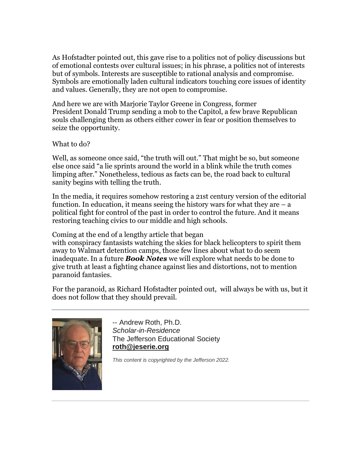As Hofstadter pointed out, this gave rise to a politics not of policy discussions but of emotional contests over cultural issues; in his phrase, a politics not of interests but of symbols. Interests are susceptible to rational analysis and compromise. Symbols are emotionally laden cultural indicators touching core issues of identity and values. Generally, they are not open to compromise.

And here we are with Marjorie Taylor Greene in Congress, former President Donald Trump sending a mob to the Capitol, a few brave Republican souls challenging them as others either cower in fear or position themselves to seize the opportunity.

What to do?

Well, as someone once said, "the truth will out." That might be so, but someone else once said "a lie sprints around the world in a blink while the truth comes limping after." Nonetheless, tedious as facts can be, the road back to cultural sanity begins with telling the truth.

In the media, it requires somehow restoring a 21st century version of the editorial function. In education, it means seeing the history wars for what they are  $-$  a political fight for control of the past in order to control the future. And it means restoring teaching civics to our middle and high schools.

Coming at the end of a lengthy article that began with conspiracy fantasists watching the skies for black helicopters to spirit them away to Walmart detention camps, those few lines about what to do seem inadequate. In a future *Book Notes* we will explore what needs to be done to give truth at least a fighting chance against lies and distortions, not to mention paranoid fantasies.

For the paranoid, as Richard Hofstadter pointed out, will always be with us, but it does not follow that they should prevail.



-- Andrew Roth, Ph.D. *Scholar-in-Residence* The Jefferson Educational Society **[roth@jeserie.org](mailto:roth@jeserie.org)**

*This content is copyrighted by the Jefferson 2022.*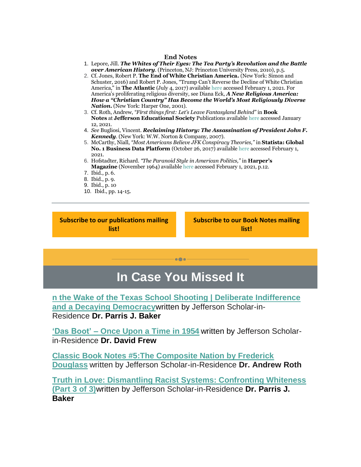#### **End Notes**

- 1. Lepore, Jill. *The Whites of Their Eyes: The Tea Party's Revolution and the Battle over American History*. (Princeton, NJ: Princeton University Press, 2010), p.5.
- 2. Cf. Jones, Robert P. **The End of White Christian America.** (New York: Simon and Schuster, 2016) and Robert P. Jones, "Trump Can't Reverse the Decline of White Christian America," in **The Atlantic** (July 4, 2017) availabl[e here](https://r20.rs6.net/tn.jsp?f=001y2sdJCPeyJ-sNq5Xy0y-vdUy0n-MTUp9zWEIZhoX1jOC3Cjq2wdfl9W2o-RWJ8rjSRs8YkTkK7_gZELkefbtbXYnFDShbGxhaVuQ_-0KrNVID1i4vPW15xfgyAY2IEdlkp_D4WqQUHFHGlG8OKRwF8LvaZJLPV008cB3aupRpczQjBo4r6cIsD5rDxWTyIeqSSIYiZtFhEID8vcm1D9CZtsbZeLXAtyrTNx5tCIX65N4QrP2YXAZ_R8nOEEeVJau&c=E62wefAoLwy-C-uj8wt16aKayJKPv59hrZsMj2scnlQUuMf0ncE_Mg==&ch=IqsOHN5HssYDyDSJu2Z8v4SttgYjjyvK9kFtKgEtaZMrrNsovwevFA==) accessed February 1, 2021. For America's proliferating religious diversity, see Diana Eck, *A New Religious America: How a "Christian Country" Has Become the World's Most Religiously Diverse Nation***.** (New York: Harper One, 2001).
- 3. Cf. Roth, Andrew, *"First things first: Let's Leave Fantasyland Behind"* in **Book Notes** at **Jefferson Educational Society** Publications available [here](https://r20.rs6.net/tn.jsp?f=001y2sdJCPeyJ-sNq5Xy0y-vdUy0n-MTUp9zWEIZhoX1jOC3Cjq2wdfl6xfRSXNYoCQPgUMECkDahrvT8c82ZGyCkwuUgtTxK6m3U_boHQ9f3-M39Yjt6hFYrg4v2pm4chmVPuy871uPxvL6CO4DC3VLGpeqAKvoWYKs9zX_AU1ILDrdgm2r5adBVuV--RP39eElVSWrG1wHCoOlW2_WSfi_w==&c=E62wefAoLwy-C-uj8wt16aKayJKPv59hrZsMj2scnlQUuMf0ncE_Mg==&ch=IqsOHN5HssYDyDSJu2Z8v4SttgYjjyvK9kFtKgEtaZMrrNsovwevFA==) accessed January 12, 2021.
- 4. *See* Bugliosi, Vincent. *Reclaiming History: The Assassination of President John F. Kennedy*. (New York: W.W. Norton & Company, 2007).
- 5. McCarthy, Niall, *"Most Americans Believe JFK Conspiracy Theories,"* in **Statista: Global No. 1 Business Data Platform** (October 26, 2017) available [here](https://r20.rs6.net/tn.jsp?f=001y2sdJCPeyJ-sNq5Xy0y-vdUy0n-MTUp9zWEIZhoX1jOC3Cjq2wdfl9W2o-RWJ8rj8AJsGTgnDNp30Nnh_If9GFFCH3VyI8JGIYIkYlVxfhGVzceTRiD3BpYJ_wwgxuFP277_SeKaZdb-k99ThfVybn7w1MXelAN-ArnXMRELg3WVa10FYAoBeWjvxFuAIESo2oCSaJT3_UngUE3oOr2QKUpiJ23Ff_JgqYE94VRRxz8=&c=E62wefAoLwy-C-uj8wt16aKayJKPv59hrZsMj2scnlQUuMf0ncE_Mg==&ch=IqsOHN5HssYDyDSJu2Z8v4SttgYjjyvK9kFtKgEtaZMrrNsovwevFA==) accessed February 1, 2021.
- 6. Hofstadter, Richard. *"The Paranoid Style in American Politics,"* in **Harper's Magazine** (November 1964) availabl[e here](https://r20.rs6.net/tn.jsp?f=001y2sdJCPeyJ-sNq5Xy0y-vdUy0n-MTUp9zWEIZhoX1jOC3Cjq2wdfl9W2o-RWJ8rjxzs5Rvi9kgOWlu6-D7W_zTnB1UHGkKT65fIW3k3JZaZH0BJcOvWFDbia4gFU8LXMje8kkN2EKmxzeBrIHyLC_5lzb8vv8EVWHD3H5jIHs1E8eviTN5T9hjrFx79ikIAMfv86WgeMX8byxcVjSIsG70tGj4PY0ocv&c=E62wefAoLwy-C-uj8wt16aKayJKPv59hrZsMj2scnlQUuMf0ncE_Mg==&ch=IqsOHN5HssYDyDSJu2Z8v4SttgYjjyvK9kFtKgEtaZMrrNsovwevFA==) accessed February 1, 2021, p.12.
- 7. Ibid., p. 6.
- 8. Ibid., p. 9.
- 9. Ibid., p. 10
- 10. Ibid., pp. 14-15.

**[Subscribe to our publications mailing](https://r20.rs6.net/tn.jsp?f=001y2sdJCPeyJ-sNq5Xy0y-vdUy0n-MTUp9zWEIZhoX1jOC3Cjq2wdfl_o0Ac_q-yPiIPNrwWJUz0qPG6segd7iyAUhPNwfTnaKeh1RcMQu3uzP600U_U89FXWlaNGI_WEb3y1hGwyowole3Sp6P2B-1lIKWtU7ZKHsVGll-vekxxuh0XQBy7xBTW1O0huMH-MvmQd22d29IpKjHIrShO5spRzyKCZoYAUp7dZL8W6ZMz37l21dIB6URxgrOM1alYumD5cIsTbXvvi2ozJotapsxoTYanXTjNknTQqhOddzvEytEQn5YvqGXImy7q93G2DHrqKXylgIvJy54DoPOXRZbS5R6XFLGgnI49hkG1FagSo=&c=E62wefAoLwy-C-uj8wt16aKayJKPv59hrZsMj2scnlQUuMf0ncE_Mg==&ch=IqsOHN5HssYDyDSJu2Z8v4SttgYjjyvK9kFtKgEtaZMrrNsovwevFA==)  [list!](https://r20.rs6.net/tn.jsp?f=001y2sdJCPeyJ-sNq5Xy0y-vdUy0n-MTUp9zWEIZhoX1jOC3Cjq2wdfl_o0Ac_q-yPiIPNrwWJUz0qPG6segd7iyAUhPNwfTnaKeh1RcMQu3uzP600U_U89FXWlaNGI_WEb3y1hGwyowole3Sp6P2B-1lIKWtU7ZKHsVGll-vekxxuh0XQBy7xBTW1O0huMH-MvmQd22d29IpKjHIrShO5spRzyKCZoYAUp7dZL8W6ZMz37l21dIB6URxgrOM1alYumD5cIsTbXvvi2ozJotapsxoTYanXTjNknTQqhOddzvEytEQn5YvqGXImy7q93G2DHrqKXylgIvJy54DoPOXRZbS5R6XFLGgnI49hkG1FagSo=&c=E62wefAoLwy-C-uj8wt16aKayJKPv59hrZsMj2scnlQUuMf0ncE_Mg==&ch=IqsOHN5HssYDyDSJu2Z8v4SttgYjjyvK9kFtKgEtaZMrrNsovwevFA==)**

**[Subscribe to our Book Notes mailing](https://r20.rs6.net/tn.jsp?f=001y2sdJCPeyJ-sNq5Xy0y-vdUy0n-MTUp9zWEIZhoX1jOC3Cjq2wdfl_o0Ac_q-yPidvsGsnLLok1gfkjVdRqNigshSIPpFUAJW13GaiZa9xst2okjV12LYnldjBMNMT2mMdzGIkbj4DVw0jlHlBpNImO-Ffg9nS-0JImUHpQzjhAvkJbvm5Evtf8iUQqWTlv7JEfuMyYsCUxrCpTsnJtYG6IIh-uamJhuhXOXaoyBZbUiKcnIFMnxaTGPvs9eIWDMhKHrWB4Zk0fzBhQPzDkAjJrrq-cmtGVUR1X7-rTMsjI9fp8QVMjcxiglBQxrPsTnZ3D-xKyrFnwN29YbRDiAlfo70cK9vXWuGVhGaw9tYnI=&c=E62wefAoLwy-C-uj8wt16aKayJKPv59hrZsMj2scnlQUuMf0ncE_Mg==&ch=IqsOHN5HssYDyDSJu2Z8v4SttgYjjyvK9kFtKgEtaZMrrNsovwevFA==)  [list!](https://r20.rs6.net/tn.jsp?f=001y2sdJCPeyJ-sNq5Xy0y-vdUy0n-MTUp9zWEIZhoX1jOC3Cjq2wdfl_o0Ac_q-yPidvsGsnLLok1gfkjVdRqNigshSIPpFUAJW13GaiZa9xst2okjV12LYnldjBMNMT2mMdzGIkbj4DVw0jlHlBpNImO-Ffg9nS-0JImUHpQzjhAvkJbvm5Evtf8iUQqWTlv7JEfuMyYsCUxrCpTsnJtYG6IIh-uamJhuhXOXaoyBZbUiKcnIFMnxaTGPvs9eIWDMhKHrWB4Zk0fzBhQPzDkAjJrrq-cmtGVUR1X7-rTMsjI9fp8QVMjcxiglBQxrPsTnZ3D-xKyrFnwN29YbRDiAlfo70cK9vXWuGVhGaw9tYnI=&c=E62wefAoLwy-C-uj8wt16aKayJKPv59hrZsMj2scnlQUuMf0ncE_Mg==&ch=IqsOHN5HssYDyDSJu2Z8v4SttgYjjyvK9kFtKgEtaZMrrNsovwevFA==)**

#### **In Case You Missed It**

 $\bullet$   $\bullet$ 

**[n the Wake of the Texas School Shooting | Deliberate Indifference](https://r20.rs6.net/tn.jsp?f=001y2sdJCPeyJ-sNq5Xy0y-vdUy0n-MTUp9zWEIZhoX1jOC3Cjq2wdfl0TDC8Z-KnnTQGNYgn0GgSsYKVqRhuDWDaVmMcZhD5NRJWmDsg2Dk2cC1m-_h2Fn4fjjKsUulLJgCUdrC2csEdP3gZi43Wl-vw==&c=E62wefAoLwy-C-uj8wt16aKayJKPv59hrZsMj2scnlQUuMf0ncE_Mg==&ch=IqsOHN5HssYDyDSJu2Z8v4SttgYjjyvK9kFtKgEtaZMrrNsovwevFA==)  [and a Decaying Democracy](https://r20.rs6.net/tn.jsp?f=001y2sdJCPeyJ-sNq5Xy0y-vdUy0n-MTUp9zWEIZhoX1jOC3Cjq2wdfl0TDC8Z-KnnTQGNYgn0GgSsYKVqRhuDWDaVmMcZhD5NRJWmDsg2Dk2cC1m-_h2Fn4fjjKsUulLJgCUdrC2csEdP3gZi43Wl-vw==&c=E62wefAoLwy-C-uj8wt16aKayJKPv59hrZsMj2scnlQUuMf0ncE_Mg==&ch=IqsOHN5HssYDyDSJu2Z8v4SttgYjjyvK9kFtKgEtaZMrrNsovwevFA==)**written by Jefferson Scholar-in-Residence **Dr. Parris J. Baker**

**'Das Boot' – [Once Upon a Time in 1954](https://r20.rs6.net/tn.jsp?f=001y2sdJCPeyJ-sNq5Xy0y-vdUy0n-MTUp9zWEIZhoX1jOC3Cjq2wdfl4wiFVera-lElHqVwmbEuBF6-_T-yaEymLYgkxPlmQytRaiok_9Xme_Gpq0C3K9Z4aNohJDNL_Dum9p0R0yHbVEguWOLRBWPNg==&c=E62wefAoLwy-C-uj8wt16aKayJKPv59hrZsMj2scnlQUuMf0ncE_Mg==&ch=IqsOHN5HssYDyDSJu2Z8v4SttgYjjyvK9kFtKgEtaZMrrNsovwevFA==)** written by Jefferson Scholarin-Residence **Dr. David Frew**

**[Classic Book Notes #5:The Composite Nation by Frederick](https://r20.rs6.net/tn.jsp?f=001y2sdJCPeyJ-sNq5Xy0y-vdUy0n-MTUp9zWEIZhoX1jOC3Cjq2wdfl4wiFVera-lE3Iwk5JzqI7zQxMi4fp3w0GsZDS-mXdP6cK0rk4MKoegtPiobZKEIKxH_Hl_J01xXxe74oAszZHQ6WOhRxkv0Ow==&c=E62wefAoLwy-C-uj8wt16aKayJKPv59hrZsMj2scnlQUuMf0ncE_Mg==&ch=IqsOHN5HssYDyDSJu2Z8v4SttgYjjyvK9kFtKgEtaZMrrNsovwevFA==)  [Douglass](https://r20.rs6.net/tn.jsp?f=001y2sdJCPeyJ-sNq5Xy0y-vdUy0n-MTUp9zWEIZhoX1jOC3Cjq2wdfl4wiFVera-lE3Iwk5JzqI7zQxMi4fp3w0GsZDS-mXdP6cK0rk4MKoegtPiobZKEIKxH_Hl_J01xXxe74oAszZHQ6WOhRxkv0Ow==&c=E62wefAoLwy-C-uj8wt16aKayJKPv59hrZsMj2scnlQUuMf0ncE_Mg==&ch=IqsOHN5HssYDyDSJu2Z8v4SttgYjjyvK9kFtKgEtaZMrrNsovwevFA==)** written by Jefferson Scholar-in-Residence **Dr. Andrew Roth**

**[Truth in Love: Dismantling Racist Systems: Confronting Whiteness](https://r20.rs6.net/tn.jsp?f=001y2sdJCPeyJ-sNq5Xy0y-vdUy0n-MTUp9zWEIZhoX1jOC3Cjq2wdfl4wiFVera-lEF8Ci6xffzikP85uv3-tI-uKFQqs-oS2J3-txfwgeKJD4MCuctOBW9m6tAuu_wDHeNR4xk5Eytx9kAabLlbOJKQ==&c=E62wefAoLwy-C-uj8wt16aKayJKPv59hrZsMj2scnlQUuMf0ncE_Mg==&ch=IqsOHN5HssYDyDSJu2Z8v4SttgYjjyvK9kFtKgEtaZMrrNsovwevFA==)  [\(Part 3 of 3\)](https://r20.rs6.net/tn.jsp?f=001y2sdJCPeyJ-sNq5Xy0y-vdUy0n-MTUp9zWEIZhoX1jOC3Cjq2wdfl4wiFVera-lEF8Ci6xffzikP85uv3-tI-uKFQqs-oS2J3-txfwgeKJD4MCuctOBW9m6tAuu_wDHeNR4xk5Eytx9kAabLlbOJKQ==&c=E62wefAoLwy-C-uj8wt16aKayJKPv59hrZsMj2scnlQUuMf0ncE_Mg==&ch=IqsOHN5HssYDyDSJu2Z8v4SttgYjjyvK9kFtKgEtaZMrrNsovwevFA==)**written by Jefferson Scholar-in-Residence **Dr. Parris J. Baker**